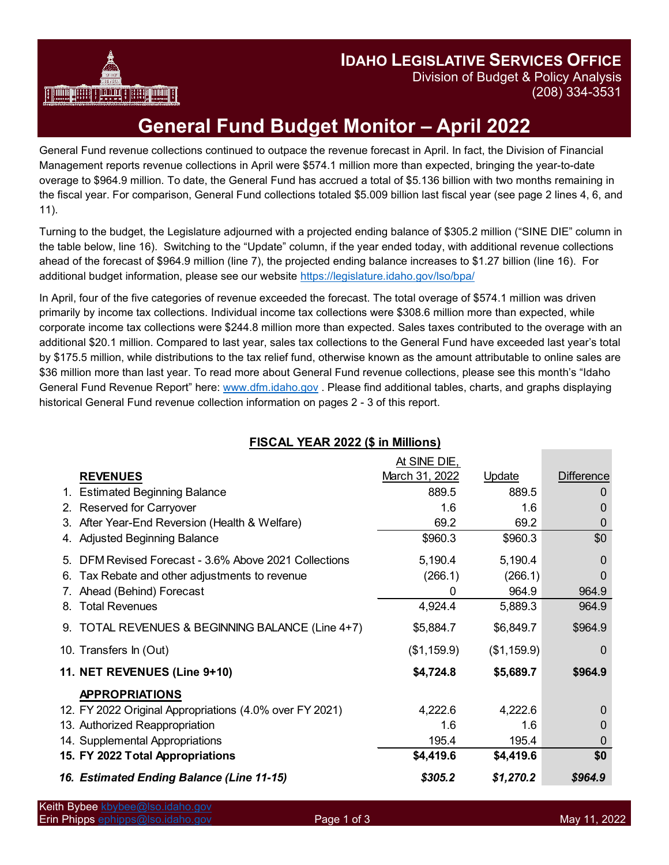

**IDAHO LEGISLATIVE SERVICES OFFICE**

Division of Budget & Policy Analysis (208) 334-3531

## **General Fund Budget Monitor – April 2022**

General Fund revenue collections continued to outpace the revenue forecast in April. In fact, the Division of Financial Management reports revenue collections in April were \$574.1 million more than expected, bringing the year-to-date overage to \$964.9 million. To date, the General Fund has accrued a total of \$5.136 billion with two months remaining in the fiscal year. For comparison, General Fund collections totaled \$5.009 billion last fiscal year (see page 2 lines 4, 6, and 11).

Turning to the budget, the Legislature adjourned with a projected ending balance of \$305.2 million ("SINE DIE" column in the table below, line 16). Switching to the "Update" column, if the year ended today, with additional revenue collections ahead of the forecast of \$964.9 million (line 7), the projected ending balance increases to \$1.27 billion (line 16). For additional budget information, please see our website<https://legislature.idaho.gov/lso/bpa/>

In April, four of the five categories of revenue exceeded the forecast. The total overage of \$574.1 million was driven primarily by income tax collections. Individual income tax collections were \$308.6 million more than expected, while corporate income tax collections were \$244.8 million more than expected. Sales taxes contributed to the overage with an additional \$20.1 million. Compared to last year, sales tax collections to the General Fund have exceeded last year's total by \$175.5 million, while distributions to the tax relief fund, otherwise known as the amount attributable to online sales are \$36 million more than last year. To read more about General Fund revenue collections, please see this month's "Idaho General Fund Revenue Report" here: [www.dfm.idaho.gov](http://www.dfm.idaho.gov/) . Please find additional tables, charts, and graphs displaying historical General Fund revenue collection information on pages 2 - 3 of this report.

| <b>I ISUAL TEAN ZUZZ (\$ 111 MILIIOIIS)</b>              |                                |             |                   |
|----------------------------------------------------------|--------------------------------|-------------|-------------------|
| <b>REVENUES</b>                                          | At SINE DIE,<br>March 31, 2022 | Update      | <b>Difference</b> |
| 1. Estimated Beginning Balance                           | 889.5                          | 889.5       | 0                 |
| Reserved for Carryover<br>2.                             | 1.6                            | 1.6         | 0                 |
| After Year-End Reversion (Health & Welfare)<br>3.        | 69.2                           | 69.2        | 0                 |
| <b>Adjusted Beginning Balance</b>                        | \$960.3                        | \$960.3     | \$0               |
| DFM Revised Forecast - 3.6% Above 2021 Collections<br>5. | 5,190.4                        | 5,190.4     | $\Omega$          |
| Tax Rebate and other adjustments to revenue<br>6.        | (266.1)                        | (266.1)     | $\Omega$          |
| Ahead (Behind) Forecast                                  | 0                              | 964.9       | 964.9             |
| <b>Total Revenues</b><br>8.                              | 4,924.4                        | 5,889.3     | 964.9             |
| 9. TOTAL REVENUES & BEGINNING BALANCE (Line 4+7)         | \$5,884.7                      | \$6,849.7   | \$964.9           |
| 10. Transfers In (Out)                                   | (\$1,159.9)                    | (\$1,159.9) | $\Omega$          |
| 11. NET REVENUES (Line 9+10)                             | \$4,724.8                      | \$5,689.7   | \$964.9           |
| <b>APPROPRIATIONS</b>                                    |                                |             |                   |
| 12. FY 2022 Original Appropriations (4.0% over FY 2021)  | 4,222.6                        | 4,222.6     | $\Omega$          |
| 13. Authorized Reappropriation                           | 1.6                            | 1.6         | 0                 |
| 14. Supplemental Appropriations                          | 195.4                          | 195.4       | $\Omega$          |
| 15. FY 2022 Total Appropriations                         | \$4,419.6                      | \$4,419.6   | \$0               |
| 16. Estimated Ending Balance (Line 11-15)                | \$305.2                        | \$1,270.2   | \$964.9           |

## **FISCAL YEAR 2022 (\$ in Millions)**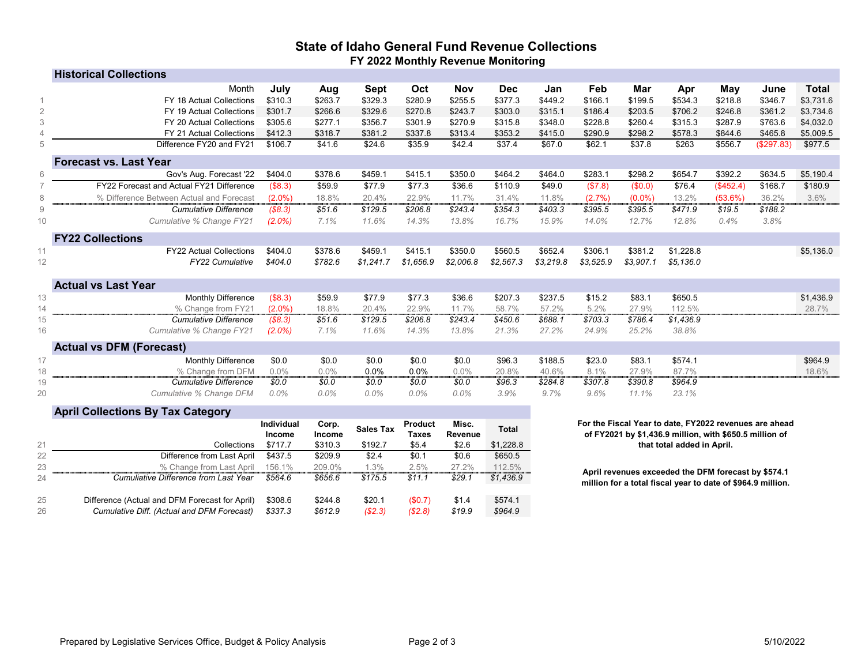## **State of Idaho General Fund Revenue Collections FY 2022 Monthly Revenue Monitoring**

|                 | <b>Historical Collections</b>            |           |         |           |           |            |            |           |           |           |           |            |            |              |
|-----------------|------------------------------------------|-----------|---------|-----------|-----------|------------|------------|-----------|-----------|-----------|-----------|------------|------------|--------------|
|                 | Month                                    | July      | Aug     | Sept      | Oct       | <b>Nov</b> | <b>Dec</b> | Jan       | Feb       | Mar       | Apr       | May        | June       | <b>Total</b> |
|                 | FY 18 Actual Collections                 | \$310.3   | \$263.7 | \$329.3   | \$280.9   | \$255.5    | \$377.3    | \$449.2   | \$166.1   | \$199.5   | \$534.3   | \$218.8    | \$346.7    | \$3,731.6    |
| $\mathbf{2}$    | FY 19 Actual Collections                 | \$301.7   | \$266.6 | \$329.6   | \$270.8   | \$243.7    | \$303.0    | \$315.1   | \$186.4   | \$203.5   | \$706.2   | \$246.8    | \$361.2    | \$3,734.6    |
| $\mathfrak{Z}$  | FY 20 Actual Collections                 | \$305.6   | \$277.1 | \$356.7   | \$301.9   | \$270.9    | \$315.8    | \$348.0   | \$228.8   | \$260.4   | \$315.3   | \$287.9    | \$763.6    | \$4,032.0    |
| $\overline{4}$  | <b>FY 21 Actual Collections</b>          | \$412.3   | \$318.7 | \$381.2   | \$337.8   | \$313.4    | \$353.2    | \$415.0   | \$290.9   | \$298.2   | \$578.3   | \$844.6    | \$465.8    | \$5,009.5    |
| 5               | Difference FY20 and FY21                 | \$106.7   | \$41.6  | \$24.6    | \$35.9    | \$42.4     | \$37.4     | \$67.0    | \$62.1    | \$37.8    | \$263     | \$556.7    | (\$297.83) | \$977.5      |
|                 | <b>Forecast vs. Last Year</b>            |           |         |           |           |            |            |           |           |           |           |            |            |              |
| 6               | Gov's Aug. Forecast '22                  | \$404.0   | \$378.6 | \$459.1   | \$415.1   | \$350.0    | \$464.2    | \$464.0   | \$283.1   | \$298.2   | \$654.7   | \$392.2    | \$634.5    | \$5,190.4    |
|                 | FY22 Forecast and Actual FY21 Difference | (\$8.3)   | \$59.9  | \$77.9    | \$77.3    | \$36.6     | \$110.9    | \$49.0    | (\$7.8)   | (\$0.0)   | \$76.4    | (\$452.4)  | \$168.7    | \$180.9      |
| 8               | % Difference Between Actual and Forecast | $(2.0\%)$ | 18.8%   | 20.4%     | 22.9%     | 11.7%      | 31.4%      | 11.8%     | (2.7%)    | $(0.0\%)$ | 13.2%     | $(53.6\%)$ | 36.2%      | 3.6%         |
| 9               | <b>Cumulative Difference</b>             | (\$8.3)   | \$51.6  | \$129.5   | \$206.8   | \$243.4    | \$354.3    | \$403.3   | \$395.5   | \$395.5   | \$471.9   | \$19.5     | \$188.2    |              |
| 10              | Cumulative % Change FY21                 | $(2.0\%)$ | 7.1%    | 11.6%     | 14.3%     | 13.8%      | 16.7%      | 15.9%     | 14.0%     | 12.7%     | 12.8%     | 0.4%       | 3.8%       |              |
|                 | <b>FY22 Collections</b>                  |           |         |           |           |            |            |           |           |           |           |            |            |              |
|                 | <b>FY22 Actual Collections</b>           | \$404.0   | \$378.6 | \$459.1   | \$415.1   | \$350.0    | \$560.5    | \$652.4   | \$306.1   | \$381.2   | \$1,228.8 |            |            | \$5,136.0    |
| 12 <sup>°</sup> | <b>FY22 Cumulative</b>                   | \$404.0   | \$782.6 | \$1,241.7 | \$1,656.9 | \$2,006.8  | \$2,567.3  | \$3,219.8 | \$3,525.9 | \$3,907.1 | \$5,136.0 |            |            |              |
|                 | <b>Actual vs Last Year</b>               |           |         |           |           |            |            |           |           |           |           |            |            |              |
| 13              | Monthly Difference                       | (\$8.3)   | \$59.9  | \$77.9    | \$77.3    | \$36.6     | \$207.3    | \$237.5   | \$15.2    | \$83.1    | \$650.5   |            |            | \$1,436.9    |
| 14              | % Change from FY21                       | $(2.0\%)$ | 18.8%   | 20.4%     | 22.9%     | 11.7%      | 58.7%      | 57.2%     | 5.2%      | 27.9%     | 112.5%    |            |            | 28.7%        |
| 15              | <b>Cumulative Difference</b>             | (\$8.3)   | \$51.6  | \$129.5   | \$206.8   | \$243.4    | \$450.6    | \$688.1   | \$703.3   | \$786.4   | \$1,436.9 |            |            |              |
| 16              | Cumulative % Change FY21                 | $(2.0\%)$ | 7.1%    | 11.6%     | 14.3%     | 13.8%      | 21.3%      | 27.2%     | 24.9%     | 25.2%     | 38.8%     |            |            |              |
|                 | <b>Actual vs DFM (Forecast)</b>          |           |         |           |           |            |            |           |           |           |           |            |            |              |
| 17              | Monthly Difference                       | \$0.0     | \$0.0   | \$0.0     | \$0.0     | \$0.0      | \$96.3     | \$188.5   | \$23.0    | \$83.1    | \$574.1   |            |            | \$964.9      |
| 18              | % Change from DFM                        | 0.0%      | 0.0%    | 0.0%      | 0.0%      | 0.0%       | 20.8%      | 40.6%     | 8.1%      | 27.9%     | 87.7%     |            |            | 18.6%        |
| 19              | <b>Cumulative Difference</b>             | \$0.0     | \$0.0   | \$0.0     | \$0.0     | \$0.0      | \$96.3     | \$284.8   | \$307.8   | \$390.8   | \$964.9   |            |            |              |
| 20              | Cumulative % Change DFM                  | $0.0\%$   | $0.0\%$ | $0.0\%$   | 0.0%      | 0.0%       | 3.9%       | 9.7%      | 9.6%      | 11.1%     | 23.1%     |            |            |              |
|                 |                                          |           |         |           |           |            |            |           |           |           |           |            |            |              |

| <b>April Collections By Tax Category</b> |  |  |
|------------------------------------------|--|--|
|------------------------------------------|--|--|

|          |                                                                                              | <b>Individual</b><br><b>Income</b> | Corp.<br><b>Income</b> | <b>Sales Tax</b> | <b>Product</b><br><b>Taxes</b> | Misc.<br><b>Revenue</b> | <b>Total</b>       |
|----------|----------------------------------------------------------------------------------------------|------------------------------------|------------------------|------------------|--------------------------------|-------------------------|--------------------|
| 21       | Collections                                                                                  | \$717.7                            | \$310.3                | \$192.7          | \$5.4                          | \$2.6                   | \$1,228.8          |
| 22       | Difference from Last April                                                                   | \$437.5                            | \$209.9                | \$2.4            | \$0.1                          | \$0.6                   | \$650.5            |
| 23       | % Change from Last April                                                                     | 156.1%                             | 209.0%                 | 1.3%             | 2.5%                           | 27.2%                   | 112.5%             |
| 24       | Cumuliative Difference from Last Year                                                        | \$564.6                            | \$656.6                | \$175.5          | \$11.1                         | \$29.1                  | \$1,436.9          |
| 25<br>26 | Difference (Actual and DFM Forecast for April)<br>Cumulative Diff. (Actual and DFM Forecast) | \$308.6<br>\$337.3                 | \$244.8<br>\$612.9     | \$20.1<br>(S2.3) | $(\$0.7)$<br>(\$2.8)           | \$1.4<br>\$19.9         | \$574.1<br>\$964.9 |

## **For the Fiscal Year to date, FY2022 revenues are ahead of FY2021 by \$1,436.9 million, with \$650.5 million of that total added in April.**

**April revenues exceeded the DFM forecast by \$574.1 million for a total fiscal year to date of \$964.9 million.**